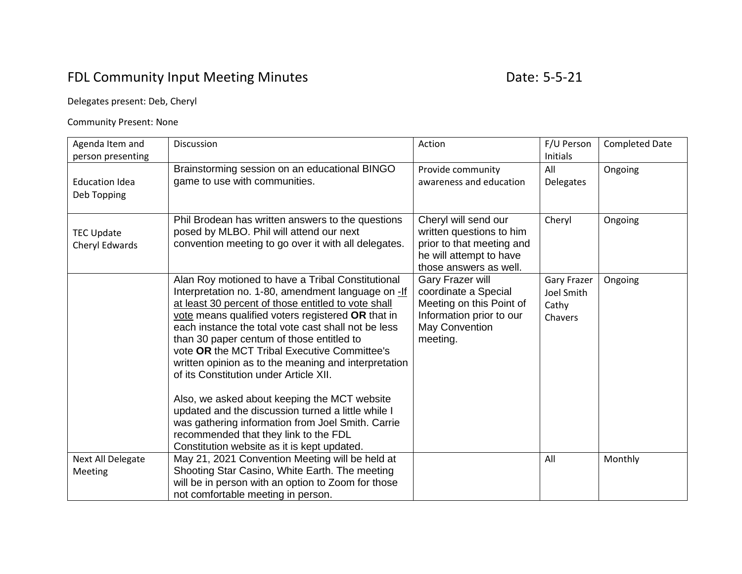## FDL Community Input Meeting Minutes **EXACTE 10 10 13 Set 10 13 AM** Date: 5-5-21

Delegates present: Deb, Cheryl

## Community Present: None

| Agenda Item and<br>person presenting | Discussion                                                                                                                                                                                                                                                                                                                                                                                                                                                                                                                                                                                                                                                                                                                   | Action                                                                                                                             | F/U Person<br>Initials                               | <b>Completed Date</b> |
|--------------------------------------|------------------------------------------------------------------------------------------------------------------------------------------------------------------------------------------------------------------------------------------------------------------------------------------------------------------------------------------------------------------------------------------------------------------------------------------------------------------------------------------------------------------------------------------------------------------------------------------------------------------------------------------------------------------------------------------------------------------------------|------------------------------------------------------------------------------------------------------------------------------------|------------------------------------------------------|-----------------------|
| <b>Education Idea</b><br>Deb Topping | Brainstorming session on an educational BINGO<br>game to use with communities.                                                                                                                                                                                                                                                                                                                                                                                                                                                                                                                                                                                                                                               | Provide community<br>awareness and education                                                                                       | All<br>Delegates                                     | Ongoing               |
| <b>TEC Update</b><br>Cheryl Edwards  | Phil Brodean has written answers to the questions<br>posed by MLBO. Phil will attend our next<br>convention meeting to go over it with all delegates.                                                                                                                                                                                                                                                                                                                                                                                                                                                                                                                                                                        | Cheryl will send our<br>written questions to him<br>prior to that meeting and<br>he will attempt to have<br>those answers as well. | Cheryl                                               | Ongoing               |
|                                      | Alan Roy motioned to have a Tribal Constitutional<br>Interpretation no. 1-80, amendment language on -If<br>at least 30 percent of those entitled to vote shall<br>vote means qualified voters registered OR that in<br>each instance the total vote cast shall not be less<br>than 30 paper centum of those entitled to<br>vote OR the MCT Tribal Executive Committee's<br>written opinion as to the meaning and interpretation<br>of its Constitution under Article XII.<br>Also, we asked about keeping the MCT website<br>updated and the discussion turned a little while I<br>was gathering information from Joel Smith. Carrie<br>recommended that they link to the FDL<br>Constitution website as it is kept updated. | Gary Frazer will<br>coordinate a Special<br>Meeting on this Point of<br>Information prior to our<br>May Convention<br>meeting.     | <b>Gary Frazer</b><br>Joel Smith<br>Cathy<br>Chavers | Ongoing               |
| <b>Next All Delegate</b><br>Meeting  | May 21, 2021 Convention Meeting will be held at<br>Shooting Star Casino, White Earth. The meeting<br>will be in person with an option to Zoom for those<br>not comfortable meeting in person.                                                                                                                                                                                                                                                                                                                                                                                                                                                                                                                                |                                                                                                                                    | All                                                  | Monthly               |